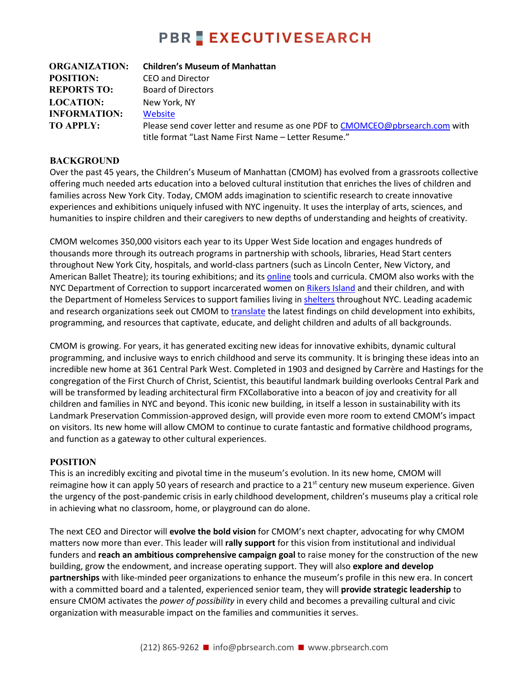## **PBR EXECUTIVESEARCH**

| <b>ORGANIZATION:</b> | <b>Children's Museum of Manhattan</b>                                                                                                |
|----------------------|--------------------------------------------------------------------------------------------------------------------------------------|
| <b>POSITION:</b>     | CEO and Director                                                                                                                     |
| <b>REPORTS TO:</b>   | <b>Board of Directors</b>                                                                                                            |
| <b>LOCATION:</b>     | New York, NY                                                                                                                         |
| <b>INFORMATION:</b>  | Website                                                                                                                              |
| <b>TO APPLY:</b>     | Please send cover letter and resume as one PDF to CMOMCEO@pbrsearch.com with<br>title format "Last Name First Name - Letter Resume." |

#### **BACKGROUND**

Over the past 45 years, the Children's Museum of Manhattan (CMOM) has evolved from a grassroots collective offering much needed arts education into a beloved cultural institution that enriches the lives of children and families across New York City. Today, CMOM adds imagination to scientific research to create innovative experiences and exhibitions uniquely infused with NYC ingenuity. It uses the interplay of arts, sciences, and humanities to inspire children and their caregivers to new depths of understanding and heights of creativity.

CMOM welcomes 350,000 visitors each year to its Upper West Side location and engages hundreds of thousands more through its outreach programs in partnership with schools, libraries, Head Start centers throughout New York City, hospitals, and world-class partners (such as Lincoln Center, New Victory, and American Ballet Theatre); its touring exhibitions; and its [online](https://cmom.org/learn/cmom-at-home/) tools and curricula. CMOM also works with the NYC Department of Correction to support incarcerated women on [Rikers Island](https://www.nytimes.com/2018/12/06/well/family/getting-past-the-barriers-when-a-mother-is-in-prison.html?fbclid=IwAR3Rq78UFil9mCVG3XvrkunGEePSYBOuCO84ccjfy0eNB8IGBlerKajZbAA) and their children, and with the Department of Homeless Services to support families living in [shelters](http://cmom.org/outreach/early-childhood-outreach/) throughout NYC. Leading academic and research organizations seek out CMOM t[o translate](https://cmom.org/learn/publications/) the latest findings on child development into exhibits, programming, and resources that captivate, educate, and delight children and adults of all backgrounds.

CMOM is growing. For years, it has generated exciting new ideas for innovative exhibits, dynamic cultural programming, and inclusive ways to enrich childhood and serve its community. It is bringing these ideas into an incredible new home at 361 Central Park West. Completed in 1903 and designed by Carrère and Hastings for the congregation of the First Church of Christ, Scientist, this beautiful landmark building overlooks Central Park and will be transformed by leading architectural firm FXCollaborative into a beacon of joy and creativity for all children and families in NYC and beyond. This iconic new building, in itself a lesson in sustainability with its Landmark Preservation Commission-approved design, will provide even more room to extend CMOM's impact on visitors. Its new home will allow CMOM to continue to curate fantastic and formative childhood programs, and function as a gateway to other cultural experiences.

#### **POSITION**

This is an incredibly exciting and pivotal time in the museum's evolution. In its new home, CMOM will reimagine how it can apply 50 years of research and practice to a  $21<sup>st</sup>$  century new museum experience. Given the urgency of the post-pandemic crisis in early childhood development, children's museums play a critical role in achieving what no classroom, home, or playground can do alone.

The next CEO and Director will **evolve the bold vision** for CMOM's next chapter, advocating for why CMOM matters now more than ever. This leader will **rally support** for this vision from institutional and individual funders and **reach an ambitious comprehensive campaign goal** to raise money for the construction of the new building, grow the endowment, and increase operating support. They will also **explore and develop partnerships** with like-minded peer organizations to enhance the museum's profile in this new era. In concert with a committed board and a talented, experienced senior team, they will **provide strategic leadership** to ensure CMOM activates the *power of possibility* in every child and becomes a prevailing cultural and civic organization with measurable impact on the families and communities it serves.